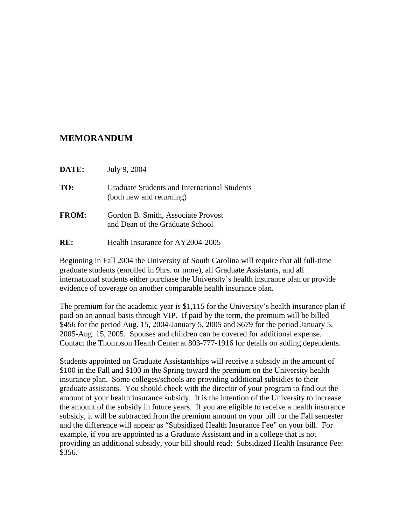## **MEMORANDUM**

- **TO:** Graduate Students and International Students (both new and returning)
- **FROM:** Gordon B. Smith, Associate Provost and Dean of the Graduate School
- **RE:** Health Insurance for AY2004-2005

Beginning in Fall 2004 the University of South Carolina will require that all full-time graduate students (enrolled in 9hrs. or more), all Graduate Assistants, and all international students either purchase the University's health insurance plan or provide evidence of coverage on another comparable health insurance plan.

The premium for the academic year is \$1,115 for the University's health insurance plan if paid on an annual basis through VIP. If paid by the term, the premium will be billed \$456 for the period Aug. 15, 2004-January 5, 2005 and \$679 for the period January 5, 2005-Aug. 15, 2005. Spouses and children can be covered for additional expense. Contact the Thompson Health Center at 803-777-1916 for details on adding dependents.

Students appointed on Graduate Assistantships will receive a subsidy in the amount of \$100 in the Fall and \$100 in the Spring toward the premium on the University health insurance plan. Some colleges/schools are providing additional subsidies to their graduate assistants. You should check with the director of your program to find out the amount of your health insurance subsidy. It is the intention of the University to increase the amount of the subsidy in future years. If you are eligible to receive a health insurance subsidy, it will be subtracted from the premium amount on your bill for the Fall semester and the difference will appear as "Subsidized Health Insurance Fee" on your bill. For example, if you are appointed as a Graduate Assistant and in a college that is not providing an additional subsidy, your bill should read: Subsidized Health Insurance Fee: \$356.